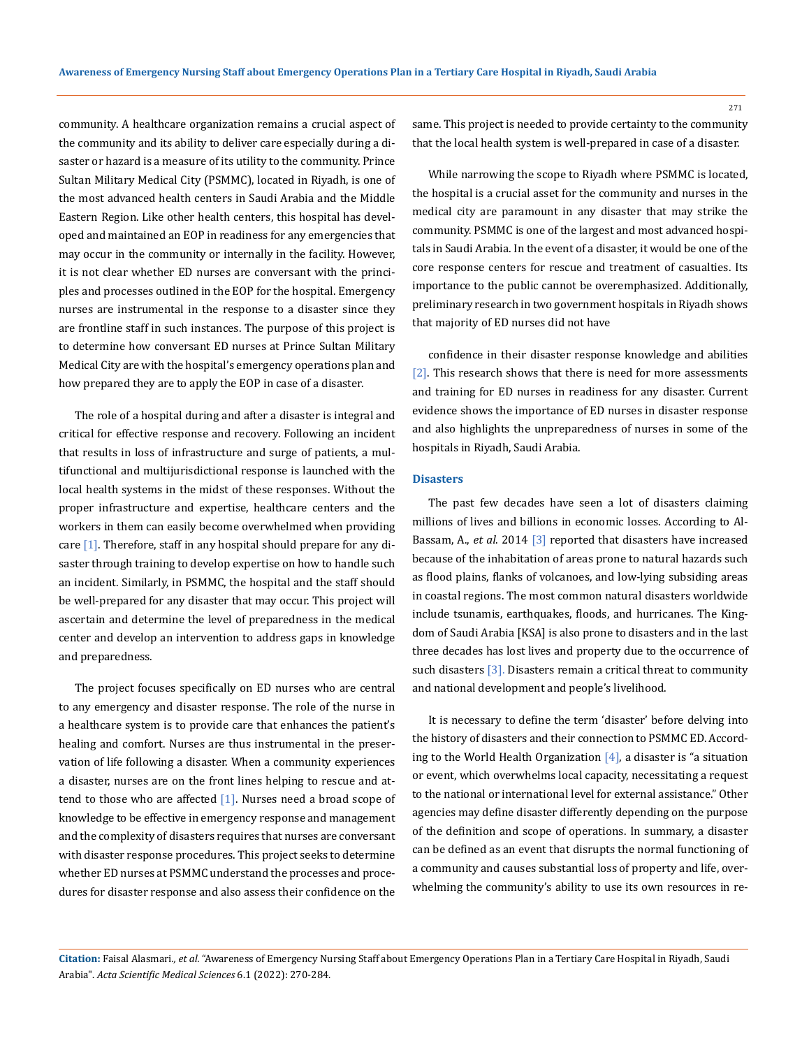community. A healthcare organization remains a crucial aspect of the community and its ability to deliver care especially during a disaster or hazard is a measure of its utility to the community. Prince Sultan Military Medical City (PSMMC), located in Riyadh, is one of the most advanced health centers in Saudi Arabia and the Middle Eastern Region. Like other health centers, this hospital has developed and maintained an EOP in readiness for any emergencies that may occur in the community or internally in the facility. However, it is not clear whether ED nurses are conversant with the principles and processes outlined in the EOP for the hospital. Emergency nurses are instrumental in the response to a disaster since they are frontline staff in such instances. The purpose of this project is to determine how conversant ED nurses at Prince Sultan Military Medical City are with the hospital's emergency operations plan and how prepared they are to apply the EOP in case of a disaster.

The role of a hospital during and after a disaster is integral and critical for effective response and recovery. Following an incident that results in loss of infrastructure and surge of patients, a multifunctional and multijurisdictional response is launched with the local health systems in the midst of these responses. Without the proper infrastructure and expertise, healthcare centers and the workers in them can easily become overwhelmed when providing care [1]. Therefore, staff in any hospital should prepare for any disaster through training to develop expertise on how to handle such an incident. Similarly, in PSMMC, the hospital and the staff should be well-prepared for any disaster that may occur. This project will ascertain and determine the level of preparedness in the medical center and develop an intervention to address gaps in knowledge and preparedness.

The project focuses specifically on ED nurses who are central to any emergency and disaster response. The role of the nurse in a healthcare system is to provide care that enhances the patient's healing and comfort. Nurses are thus instrumental in the preservation of life following a disaster. When a community experiences a disaster, nurses are on the front lines helping to rescue and attend to those who are affected [1]. Nurses need a broad scope of knowledge to be effective in emergency response and management and the complexity of disasters requires that nurses are conversant with disaster response procedures. This project seeks to determine whether ED nurses at PSMMC understand the processes and procedures for disaster response and also assess their confidence on the

same. This project is needed to provide certainty to the community that the local health system is well-prepared in case of a disaster.

While narrowing the scope to Riyadh where PSMMC is located, the hospital is a crucial asset for the community and nurses in the medical city are paramount in any disaster that may strike the community. PSMMC is one of the largest and most advanced hospitals in Saudi Arabia. In the event of a disaster, it would be one of the core response centers for rescue and treatment of casualties. Its importance to the public cannot be overemphasized. Additionally, preliminary research in two government hospitals in Riyadh shows that majority of ED nurses did not have

confidence in their disaster response knowledge and abilities [2]. This research shows that there is need for more assessments and training for ED nurses in readiness for any disaster. Current evidence shows the importance of ED nurses in disaster response and also highlights the unpreparedness of nurses in some of the hospitals in Riyadh, Saudi Arabia.

## **Disasters**

The past few decades have seen a lot of disasters claiming millions of lives and billions in economic losses. According to Al-Bassam, A., *et al*. 2014 [3] reported that disasters have increased because of the inhabitation of areas prone to natural hazards such as flood plains, flanks of volcanoes, and low-lying subsiding areas in coastal regions. The most common natural disasters worldwide include tsunamis, earthquakes, floods, and hurricanes. The Kingdom of Saudi Arabia [KSA] is also prone to disasters and in the last three decades has lost lives and property due to the occurrence of such disasters [3]. Disasters remain a critical threat to community and national development and people's livelihood.

It is necessary to define the term 'disaster' before delving into the history of disasters and their connection to PSMMC ED. According to the World Health Organization  $[4]$ , a disaster is "a situation or event, which overwhelms local capacity, necessitating a request to the national or international level for external assistance." Other agencies may define disaster differently depending on the purpose of the definition and scope of operations. In summary, a disaster can be defined as an event that disrupts the normal functioning of a community and causes substantial loss of property and life, overwhelming the community's ability to use its own resources in re-

**Citation:** Faisal Alasmari*., et al.* "Awareness of Emergency Nursing Staff about Emergency Operations Plan in a Tertiary Care Hospital in Riyadh, Saudi Arabia". *Acta Scientific Medical Sciences* 6.1 (2022): 270-284.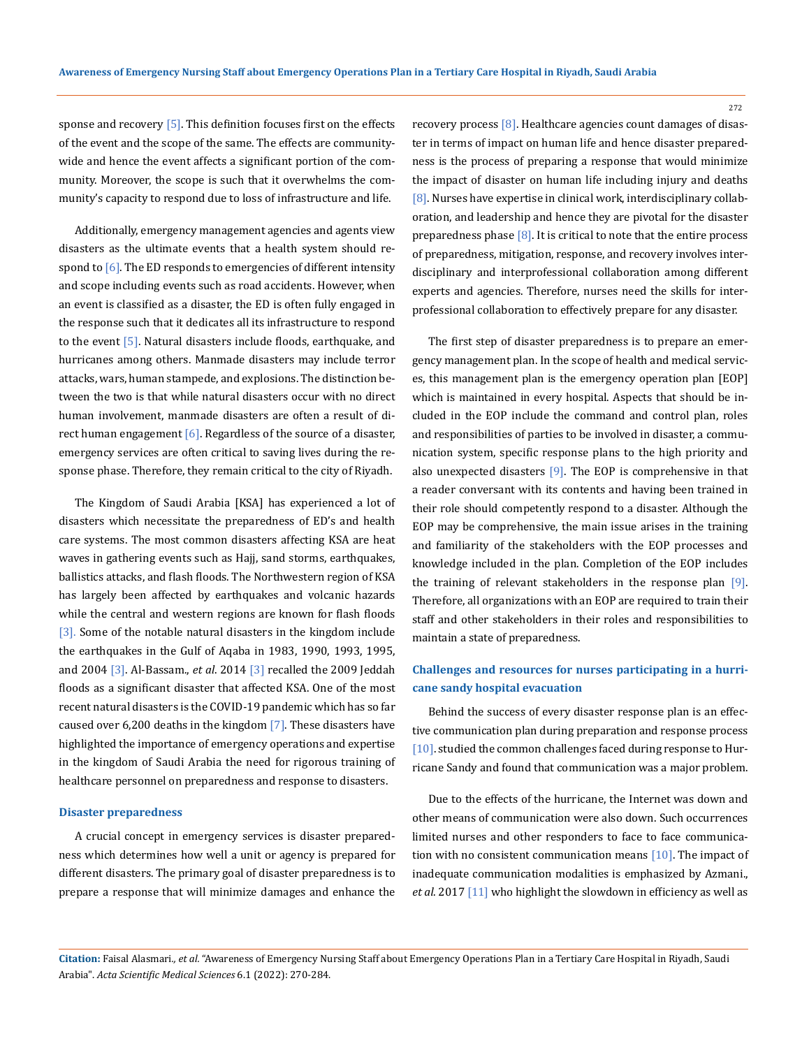sponse and recovery  $[5]$ . This definition focuses first on the effects of the event and the scope of the same. The effects are communitywide and hence the event affects a significant portion of the community. Moreover, the scope is such that it overwhelms the community's capacity to respond due to loss of infrastructure and life.

Additionally, emergency management agencies and agents view disasters as the ultimate events that a health system should respond to  $[6]$ . The ED responds to emergencies of different intensity and scope including events such as road accidents. However, when an event is classified as a disaster, the ED is often fully engaged in the response such that it dedicates all its infrastructure to respond to the event [5]. Natural disasters include floods, earthquake, and hurricanes among others. Manmade disasters may include terror attacks, wars, human stampede, and explosions. The distinction between the two is that while natural disasters occur with no direct human involvement, manmade disasters are often a result of direct human engagement  $[6]$ . Regardless of the source of a disaster, emergency services are often critical to saving lives during the response phase. Therefore, they remain critical to the city of Riyadh.

The Kingdom of Saudi Arabia [KSA] has experienced a lot of disasters which necessitate the preparedness of ED's and health care systems. The most common disasters affecting KSA are heat waves in gathering events such as Hajj, sand storms, earthquakes, ballistics attacks, and flash floods. The Northwestern region of KSA has largely been affected by earthquakes and volcanic hazards while the central and western regions are known for flash floods [3]. Some of the notable natural disasters in the kingdom include the earthquakes in the Gulf of Aqaba in 1983, 1990, 1993, 1995, and 2004 [3]. Al-Bassam., *et al*. 2014 [3] recalled the 2009 Jeddah floods as a significant disaster that affected KSA. One of the most recent natural disasters is the COVID-19 pandemic which has so far caused over 6,200 deaths in the kingdom  $[7]$ . These disasters have highlighted the importance of emergency operations and expertise in the kingdom of Saudi Arabia the need for rigorous training of healthcare personnel on preparedness and response to disasters.

### **Disaster preparedness**

A crucial concept in emergency services is disaster preparedness which determines how well a unit or agency is prepared for different disasters. The primary goal of disaster preparedness is to prepare a response that will minimize damages and enhance the recovery process [8]. Healthcare agencies count damages of disaster in terms of impact on human life and hence disaster preparedness is the process of preparing a response that would minimize the impact of disaster on human life including injury and deaths [8]. Nurses have expertise in clinical work, interdisciplinary collaboration, and leadership and hence they are pivotal for the disaster preparedness phase  $[8]$ . It is critical to note that the entire process of preparedness, mitigation, response, and recovery involves interdisciplinary and interprofessional collaboration among different experts and agencies. Therefore, nurses need the skills for interprofessional collaboration to effectively prepare for any disaster.

The first step of disaster preparedness is to prepare an emergency management plan. In the scope of health and medical services, this management plan is the emergency operation plan [EOP] which is maintained in every hospital. Aspects that should be included in the EOP include the command and control plan, roles and responsibilities of parties to be involved in disaster, a communication system, specific response plans to the high priority and also unexpected disasters [9]. The EOP is comprehensive in that a reader conversant with its contents and having been trained in their role should competently respond to a disaster. Although the EOP may be comprehensive, the main issue arises in the training and familiarity of the stakeholders with the EOP processes and knowledge included in the plan. Completion of the EOP includes the training of relevant stakeholders in the response plan [9]. Therefore, all organizations with an EOP are required to train their staff and other stakeholders in their roles and responsibilities to maintain a state of preparedness.

# **Challenges and resources for nurses participating in a hurricane sandy hospital evacuation**

Behind the success of every disaster response plan is an effective communication plan during preparation and response process [10]. studied the common challenges faced during response to Hurricane Sandy and found that communication was a major problem.

Due to the effects of the hurricane, the Internet was down and other means of communication were also down. Such occurrences limited nurses and other responders to face to face communication with no consistent communication means [10]. The impact of inadequate communication modalities is emphasized by Azmani., *et al*. 2017 [11] who highlight the slowdown in efficiency as well as

**Citation:** Faisal Alasmari*., et al.* "Awareness of Emergency Nursing Staff about Emergency Operations Plan in a Tertiary Care Hospital in Riyadh, Saudi Arabia". *Acta Scientific Medical Sciences* 6.1 (2022): 270-284.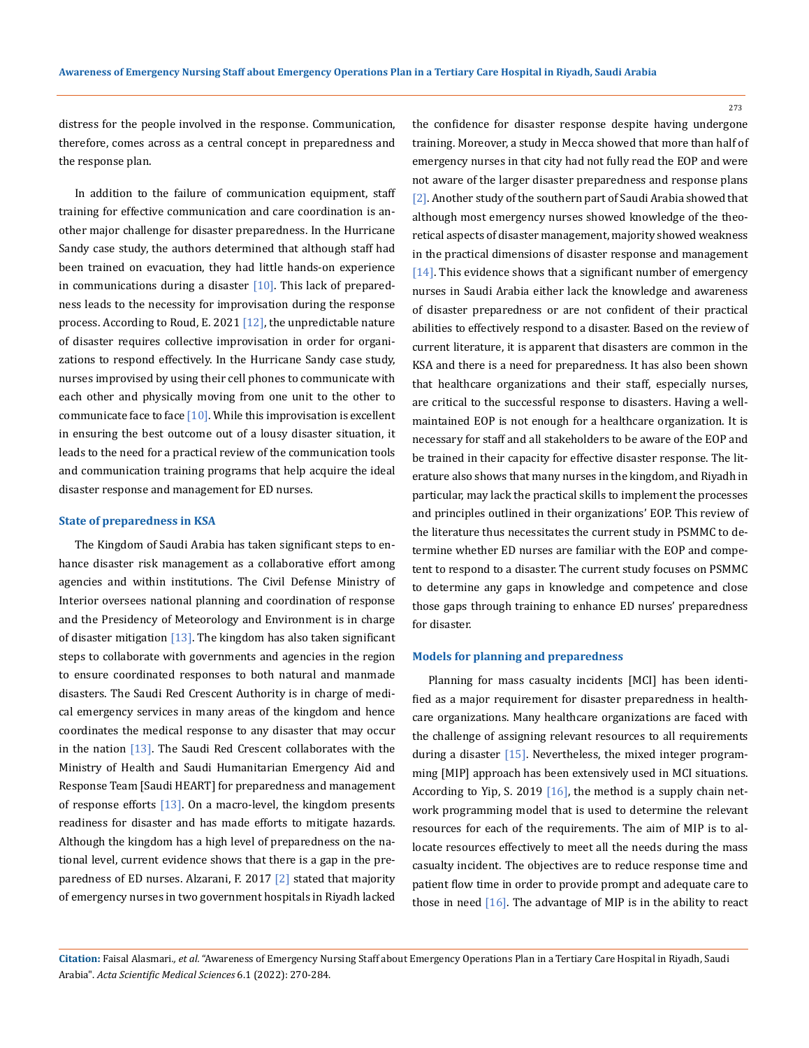273

distress for the people involved in the response. Communication, therefore, comes across as a central concept in preparedness and the response plan.

In addition to the failure of communication equipment, staff training for effective communication and care coordination is another major challenge for disaster preparedness. In the Hurricane Sandy case study, the authors determined that although staff had been trained on evacuation, they had little hands-on experience in communications during a disaster  $[10]$ . This lack of preparedness leads to the necessity for improvisation during the response process. According to Roud, E. 2021  $[12]$ , the unpredictable nature of disaster requires collective improvisation in order for organizations to respond effectively. In the Hurricane Sandy case study, nurses improvised by using their cell phones to communicate with each other and physically moving from one unit to the other to communicate face to face  $[10]$ . While this improvisation is excellent in ensuring the best outcome out of a lousy disaster situation, it leads to the need for a practical review of the communication tools and communication training programs that help acquire the ideal disaster response and management for ED nurses.

#### **State of preparedness in KSA**

The Kingdom of Saudi Arabia has taken significant steps to enhance disaster risk management as a collaborative effort among agencies and within institutions. The Civil Defense Ministry of Interior oversees national planning and coordination of response and the Presidency of Meteorology and Environment is in charge of disaster mitigation  $[13]$ . The kingdom has also taken significant steps to collaborate with governments and agencies in the region to ensure coordinated responses to both natural and manmade disasters. The Saudi Red Crescent Authority is in charge of medical emergency services in many areas of the kingdom and hence coordinates the medical response to any disaster that may occur in the nation  $[13]$ . The Saudi Red Crescent collaborates with the Ministry of Health and Saudi Humanitarian Emergency Aid and Response Team [Saudi HEART] for preparedness and management of response efforts  $[13]$ . On a macro-level, the kingdom presents readiness for disaster and has made efforts to mitigate hazards. Although the kingdom has a high level of preparedness on the national level, current evidence shows that there is a gap in the preparedness of ED nurses. Alzarani, F. 2017 [2] stated that majority of emergency nurses in two government hospitals in Riyadh lacked

the confidence for disaster response despite having undergone training. Moreover, a study in Mecca showed that more than half of emergency nurses in that city had not fully read the EOP and were not aware of the larger disaster preparedness and response plans [2]. Another study of the southern part of Saudi Arabia showed that although most emergency nurses showed knowledge of the theoretical aspects of disaster management, majority showed weakness in the practical dimensions of disaster response and management [14]. This evidence shows that a significant number of emergency nurses in Saudi Arabia either lack the knowledge and awareness of disaster preparedness or are not confident of their practical abilities to effectively respond to a disaster. Based on the review of current literature, it is apparent that disasters are common in the KSA and there is a need for preparedness. It has also been shown that healthcare organizations and their staff, especially nurses, are critical to the successful response to disasters. Having a wellmaintained EOP is not enough for a healthcare organization. It is necessary for staff and all stakeholders to be aware of the EOP and be trained in their capacity for effective disaster response. The literature also shows that many nurses in the kingdom, and Riyadh in particular, may lack the practical skills to implement the processes and principles outlined in their organizations' EOP. This review of the literature thus necessitates the current study in PSMMC to determine whether ED nurses are familiar with the EOP and competent to respond to a disaster. The current study focuses on PSMMC to determine any gaps in knowledge and competence and close those gaps through training to enhance ED nurses' preparedness for disaster.

#### **Models for planning and preparedness**

Planning for mass casualty incidents [MCI] has been identified as a major requirement for disaster preparedness in healthcare organizations. Many healthcare organizations are faced with the challenge of assigning relevant resources to all requirements during a disaster [15]. Nevertheless, the mixed integer programming [MIP] approach has been extensively used in MCI situations. According to Yip, S. 2019 [16], the method is a supply chain network programming model that is used to determine the relevant resources for each of the requirements. The aim of MIP is to allocate resources effectively to meet all the needs during the mass casualty incident. The objectives are to reduce response time and patient flow time in order to provide prompt and adequate care to those in need  $[16]$ . The advantage of MIP is in the ability to react

**Citation:** Faisal Alasmari*., et al.* "Awareness of Emergency Nursing Staff about Emergency Operations Plan in a Tertiary Care Hospital in Riyadh, Saudi Arabia". *Acta Scientific Medical Sciences* 6.1 (2022): 270-284.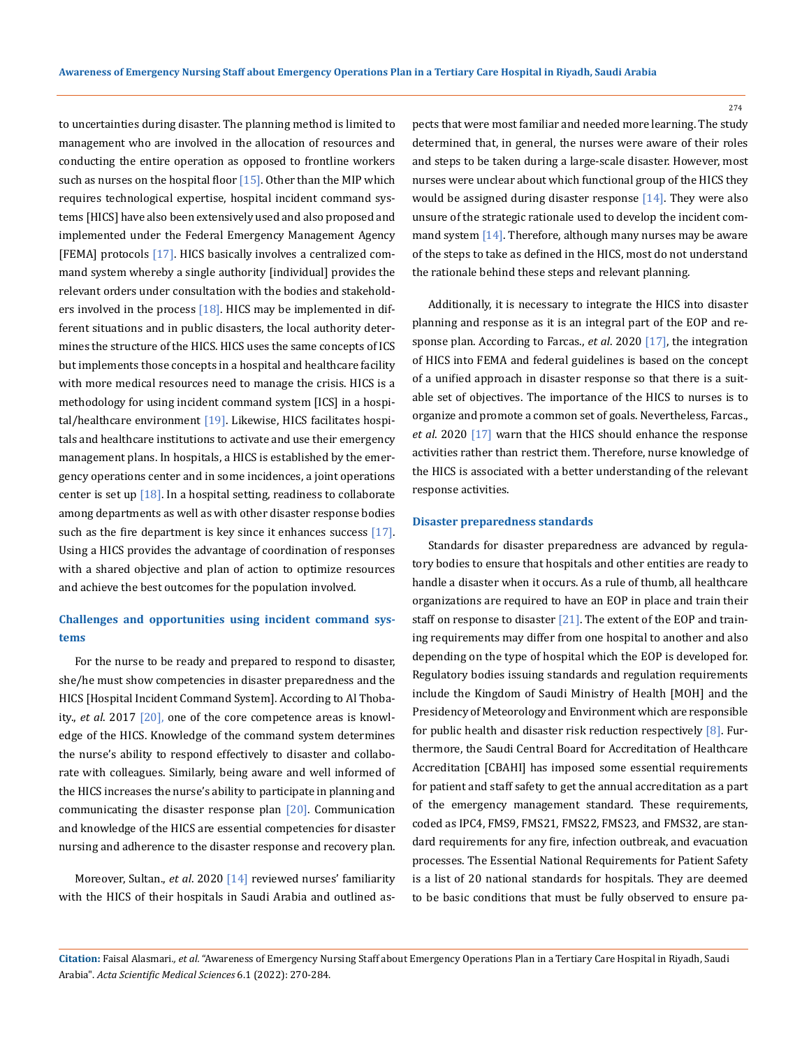to uncertainties during disaster. The planning method is limited to management who are involved in the allocation of resources and conducting the entire operation as opposed to frontline workers such as nurses on the hospital floor  $[15]$ . Other than the MIP which requires technological expertise, hospital incident command systems [HICS] have also been extensively used and also proposed and implemented under the Federal Emergency Management Agency [FEMA] protocols [17]. HICS basically involves a centralized command system whereby a single authority [individual] provides the relevant orders under consultation with the bodies and stakeholders involved in the process  $[18]$ . HICS may be implemented in different situations and in public disasters, the local authority determines the structure of the HICS. HICS uses the same concepts of ICS but implements those concepts in a hospital and healthcare facility with more medical resources need to manage the crisis. HICS is a methodology for using incident command system [ICS] in a hospital/healthcare environment [19]. Likewise, HICS facilitates hospitals and healthcare institutions to activate and use their emergency management plans. In hospitals, a HICS is established by the emergency operations center and in some incidences, a joint operations center is set up  $[18]$ . In a hospital setting, readiness to collaborate among departments as well as with other disaster response bodies such as the fire department is key since it enhances success [17]. Using a HICS provides the advantage of coordination of responses with a shared objective and plan of action to optimize resources and achieve the best outcomes for the population involved.

# **Challenges and opportunities using incident command systems**

For the nurse to be ready and prepared to respond to disaster, she/he must show competencies in disaster preparedness and the HICS [Hospital Incident Command System]. According to Al Thobaity., *et al*. 2017 [20], one of the core competence areas is knowledge of the HICS. Knowledge of the command system determines the nurse's ability to respond effectively to disaster and collaborate with colleagues. Similarly, being aware and well informed of the HICS increases the nurse's ability to participate in planning and communicating the disaster response plan [20]. Communication and knowledge of the HICS are essential competencies for disaster nursing and adherence to the disaster response and recovery plan.

Moreover, Sultan., *et al.* 2020 [14] reviewed nurses' familiarity with the HICS of their hospitals in Saudi Arabia and outlined aspects that were most familiar and needed more learning. The study determined that, in general, the nurses were aware of their roles and steps to be taken during a large-scale disaster. However, most nurses were unclear about which functional group of the HICS they would be assigned during disaster response  $[14]$ . They were also unsure of the strategic rationale used to develop the incident command system  $[14]$ . Therefore, although many nurses may be aware of the steps to take as defined in the HICS, most do not understand the rationale behind these steps and relevant planning.

Additionally, it is necessary to integrate the HICS into disaster planning and response as it is an integral part of the EOP and response plan. According to Farcas., *et al*. 2020 [17], the integration of HICS into FEMA and federal guidelines is based on the concept of a unified approach in disaster response so that there is a suitable set of objectives. The importance of the HICS to nurses is to organize and promote a common set of goals. Nevertheless, Farcas., *et al*. 2020 [17] warn that the HICS should enhance the response activities rather than restrict them. Therefore, nurse knowledge of the HICS is associated with a better understanding of the relevant response activities.

### **Disaster preparedness standards**

Standards for disaster preparedness are advanced by regulatory bodies to ensure that hospitals and other entities are ready to handle a disaster when it occurs. As a rule of thumb, all healthcare organizations are required to have an EOP in place and train their staff on response to disaster [21]. The extent of the EOP and training requirements may differ from one hospital to another and also depending on the type of hospital which the EOP is developed for. Regulatory bodies issuing standards and regulation requirements include the Kingdom of Saudi Ministry of Health [MOH] and the Presidency of Meteorology and Environment which are responsible for public health and disaster risk reduction respectively  $[8]$ . Furthermore, the Saudi Central Board for Accreditation of Healthcare Accreditation [CBAHI] has imposed some essential requirements for patient and staff safety to get the annual accreditation as a part of the emergency management standard. These requirements, coded as IPC4, FMS9, FMS21, FMS22, FMS23, and FMS32, are standard requirements for any fire, infection outbreak, and evacuation processes. The Essential National Requirements for Patient Safety is a list of 20 national standards for hospitals. They are deemed to be basic conditions that must be fully observed to ensure pa-

**Citation:** Faisal Alasmari*., et al.* "Awareness of Emergency Nursing Staff about Emergency Operations Plan in a Tertiary Care Hospital in Riyadh, Saudi Arabia". *Acta Scientific Medical Sciences* 6.1 (2022): 270-284.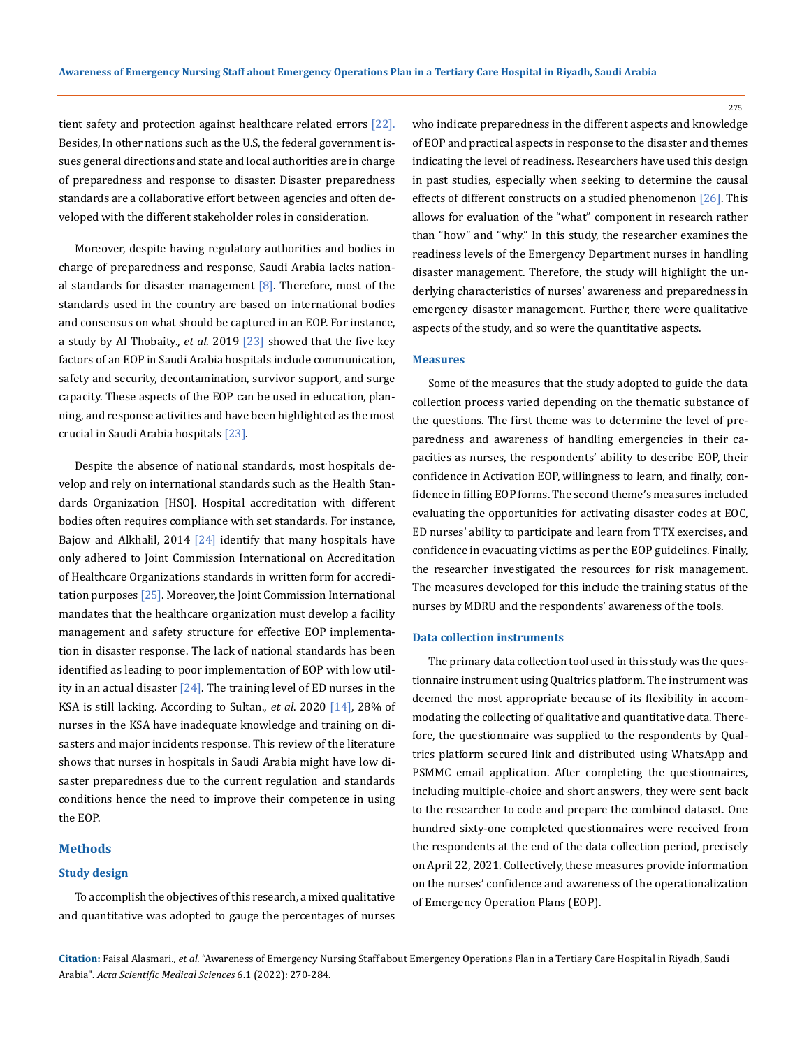tient safety and protection against healthcare related errors [22]. Besides, In other nations such as the U.S, the federal government issues general directions and state and local authorities are in charge of preparedness and response to disaster. Disaster preparedness standards are a collaborative effort between agencies and often developed with the different stakeholder roles in consideration.

Moreover, despite having regulatory authorities and bodies in charge of preparedness and response, Saudi Arabia lacks national standards for disaster management  $[8]$ . Therefore, most of the standards used in the country are based on international bodies and consensus on what should be captured in an EOP. For instance, a study by Al Thobaity., *et al*. 2019 [23] showed that the five key factors of an EOP in Saudi Arabia hospitals include communication, safety and security, decontamination, survivor support, and surge capacity. These aspects of the EOP can be used in education, planning, and response activities and have been highlighted as the most crucial in Saudi Arabia hospitals [23].

Despite the absence of national standards, most hospitals develop and rely on international standards such as the Health Standards Organization [HSO]. Hospital accreditation with different bodies often requires compliance with set standards. For instance, Bajow and Alkhalil, 2014  $[24]$  identify that many hospitals have only adhered to Joint Commission International on Accreditation of Healthcare Organizations standards in written form for accreditation purposes [25]. Moreover, the Joint Commission International mandates that the healthcare organization must develop a facility management and safety structure for effective EOP implementation in disaster response. The lack of national standards has been identified as leading to poor implementation of EOP with low utility in an actual disaster  $\sqrt{24}$ . The training level of ED nurses in the KSA is still lacking. According to Sultan., *et al*. 2020 [14], 28% of nurses in the KSA have inadequate knowledge and training on disasters and major incidents response. This review of the literature shows that nurses in hospitals in Saudi Arabia might have low disaster preparedness due to the current regulation and standards conditions hence the need to improve their competence in using the EOP.

# **Methods**

# **Study design**

To accomplish the objectives of this research, a mixed qualitative and quantitative was adopted to gauge the percentages of nurses who indicate preparedness in the different aspects and knowledge of EOP and practical aspects in response to the disaster and themes indicating the level of readiness. Researchers have used this design in past studies, especially when seeking to determine the causal effects of different constructs on a studied phenomenon  $[26]$ . This allows for evaluation of the "what" component in research rather than "how" and "why." In this study, the researcher examines the readiness levels of the Emergency Department nurses in handling disaster management. Therefore, the study will highlight the underlying characteristics of nurses' awareness and preparedness in emergency disaster management. Further, there were qualitative aspects of the study, and so were the quantitative aspects.

#### **Measures**

Some of the measures that the study adopted to guide the data collection process varied depending on the thematic substance of the questions. The first theme was to determine the level of preparedness and awareness of handling emergencies in their capacities as nurses, the respondents' ability to describe EOP, their confidence in Activation EOP, willingness to learn, and finally, confidence in filling EOP forms. The second theme's measures included evaluating the opportunities for activating disaster codes at EOC, ED nurses' ability to participate and learn from TTX exercises, and confidence in evacuating victims as per the EOP guidelines. Finally, the researcher investigated the resources for risk management. The measures developed for this include the training status of the nurses by MDRU and the respondents' awareness of the tools.

#### **Data collection instruments**

The primary data collection tool used in this study was the questionnaire instrument using Qualtrics platform. The instrument was deemed the most appropriate because of its flexibility in accommodating the collecting of qualitative and quantitative data. Therefore, the questionnaire was supplied to the respondents by Qualtrics platform secured link and distributed using WhatsApp and PSMMC email application. After completing the questionnaires, including multiple-choice and short answers, they were sent back to the researcher to code and prepare the combined dataset. One hundred sixty-one completed questionnaires were received from the respondents at the end of the data collection period, precisely on April 22, 2021. Collectively, these measures provide information on the nurses' confidence and awareness of the operationalization of Emergency Operation Plans (EOP).

**Citation:** Faisal Alasmari*., et al.* "Awareness of Emergency Nursing Staff about Emergency Operations Plan in a Tertiary Care Hospital in Riyadh, Saudi Arabia". *Acta Scientific Medical Sciences* 6.1 (2022): 270-284.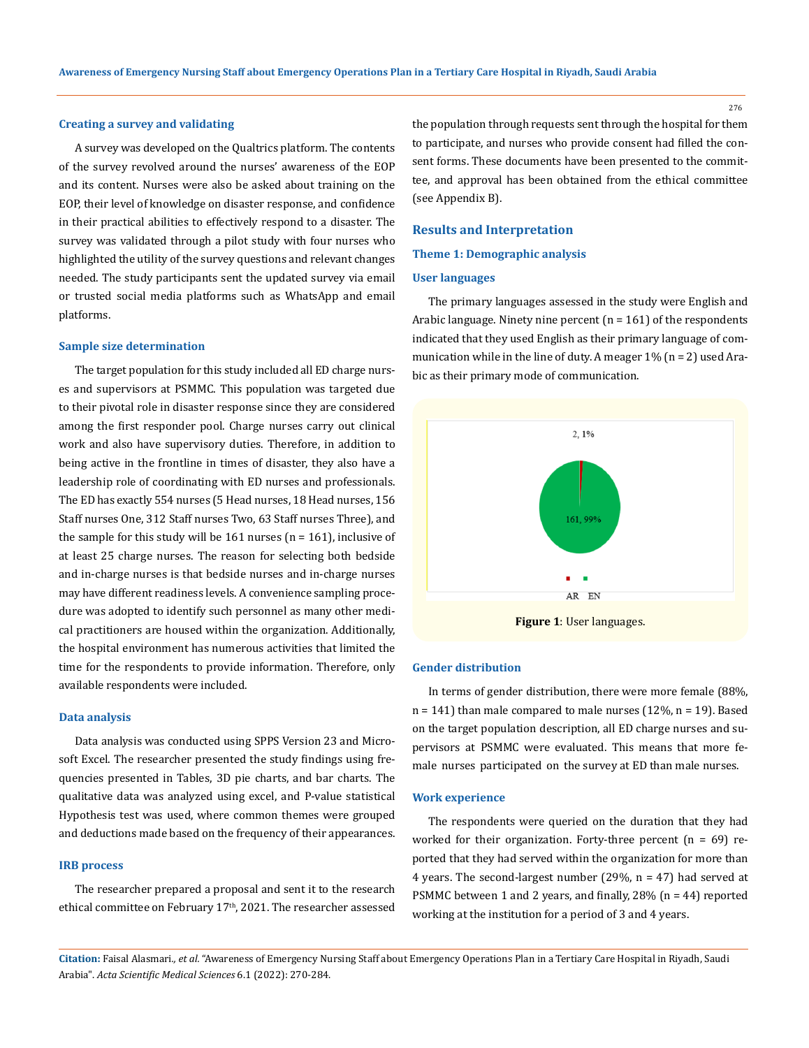#### **Creating a survey and validating**

A survey was developed on the Qualtrics platform. The contents of the survey revolved around the nurses' awareness of the EOP and its content. Nurses were also be asked about training on the EOP, their level of knowledge on disaster response, and confidence in their practical abilities to effectively respond to a disaster. The survey was validated through a pilot study with four nurses who highlighted the utility of the survey questions and relevant changes needed. The study participants sent the updated survey via email or trusted social media platforms such as WhatsApp and email platforms.

#### **Sample size determination**

The target population for this study included all ED charge nurses and supervisors at PSMMC. This population was targeted due to their pivotal role in disaster response since they are considered among the first responder pool. Charge nurses carry out clinical work and also have supervisory duties. Therefore, in addition to being active in the frontline in times of disaster, they also have a leadership role of coordinating with ED nurses and professionals. The ED has exactly 554 nurses (5 Head nurses, 18 Head nurses, 156 Staff nurses One, 312 Staff nurses Two, 63 Staff nurses Three), and the sample for this study will be  $161$  nurses ( $n = 161$ ), inclusive of at least 25 charge nurses. The reason for selecting both bedside and in-charge nurses is that bedside nurses and in-charge nurses may have different readiness levels. A convenience sampling procedure was adopted to identify such personnel as many other medical practitioners are housed within the organization. Additionally, the hospital environment has numerous activities that limited the time for the respondents to provide information. Therefore, only available respondents were included.

#### **Data analysis**

Data analysis was conducted using SPPS Version 23 and Microsoft Excel. The researcher presented the study findings using frequencies presented in Tables, 3D pie charts, and bar charts. The qualitative data was analyzed using excel, and P-value statistical Hypothesis test was used, where common themes were grouped and deductions made based on the frequency of their appearances.

### **IRB process**

The researcher prepared a proposal and sent it to the research ethical committee on February 17<sup>th</sup>, 2021. The researcher assessed the population through requests sent through the hospital for them to participate, and nurses who provide consent had filled the consent forms. These documents have been presented to the committee, and approval has been obtained from the ethical committee (see Appendix B).

### **Results and Interpretation**

#### **Theme 1: Demographic analysis**

#### **User languages**

The primary languages assessed in the study were English and Arabic language. Ninety nine percent  $(n = 161)$  of the respondents indicated that they used English as their primary language of communication while in the line of duty. A meager 1% (n = 2) used Arabic as their primary mode of communication.



### **Gender distribution**

In terms of gender distribution, there were more female (88%, n = 141) than male compared to male nurses (12%, n = 19). Based on the target population description, all ED charge nurses and supervisors at PSMMC were evaluated. This means that more female nurses participated on the survey at ED than male nurses.

#### **Work experience**

The respondents were queried on the duration that they had worked for their organization. Forty-three percent  $(n = 69)$  reported that they had served within the organization for more than 4 years. The second-largest number  $(29\% , n = 47)$  had served at PSMMC between 1 and 2 years, and finally, 28% (n = 44) reported working at the institution for a period of 3 and 4 years.

**Citation:** Faisal Alasmari*., et al.* "Awareness of Emergency Nursing Staff about Emergency Operations Plan in a Tertiary Care Hospital in Riyadh, Saudi Arabia". *Acta Scientific Medical Sciences* 6.1 (2022): 270-284.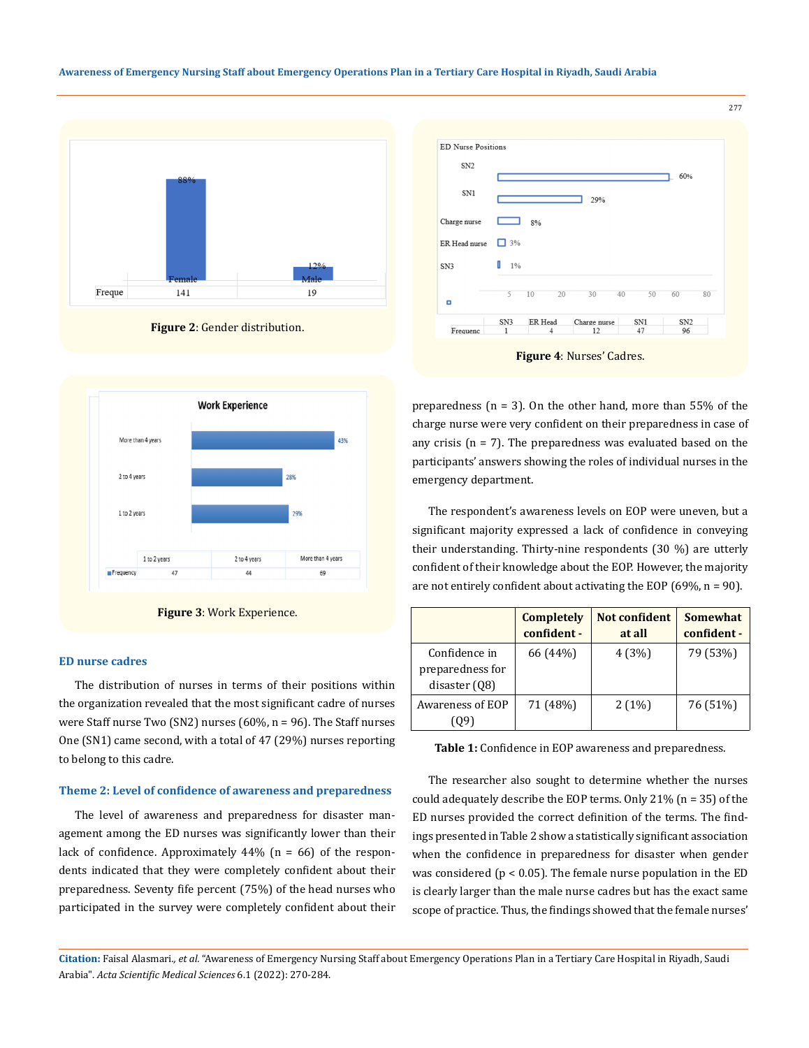











## **ED nurse cadres**

The distribution of nurses in terms of their positions within the organization revealed that the most significant cadre of nurses were Staff nurse Two (SN2) nurses (60%, n = 96). The Staff nurses One (SN1) came second, with a total of 47 (29%) nurses reporting to belong to this cadre.

#### **Theme 2: Level of confidence of awareness and preparedness**

The level of awareness and preparedness for disaster management among the ED nurses was significantly lower than their lack of confidence. Approximately  $44\%$  (n = 66) of the respondents indicated that they were completely confident about their preparedness. Seventy fife percent (75%) of the head nurses who participated in the survey were completely confident about their preparedness (n = 3). On the other hand, more than 55% of the charge nurse were very confident on their preparedness in case of any crisis ( $n = 7$ ). The preparedness was evaluated based on the participants' answers showing the roles of individual nurses in the emergency department.

The respondent's awareness levels on EOP were uneven, but a significant majority expressed a lack of confidence in conveying their understanding. Thirty-nine respondents (30 %) are utterly confident of their knowledge about the EOP. However, the majority are not entirely confident about activating the EOP  $(69\%, n = 90)$ .

|                                                      | <b>Completely</b><br>confident - | Not confident<br>at all | Somewhat<br>confident - |
|------------------------------------------------------|----------------------------------|-------------------------|-------------------------|
| Confidence in<br>preparedness for<br>disaster $(08)$ | 66 (44%)                         | 4 (3%)                  | 79 (53%)                |
| <b>Awareness of EOP</b><br>UY.                       | 71 (48%)                         | 2(1%)                   | 76 (51%)                |

**Table 1:** Confidence in EOP awareness and preparedness.

The researcher also sought to determine whether the nurses could adequately describe the EOP terms. Only 21% (n = 35) of the ED nurses provided the correct definition of the terms. The findings presented in Table 2 show a statistically significant association when the confidence in preparedness for disaster when gender was considered ( $p < 0.05$ ). The female nurse population in the ED is clearly larger than the male nurse cadres but has the exact same scope of practice. Thus, the findings showed that the female nurses'

**Citation:** Faisal Alasmari*., et al.* "Awareness of Emergency Nursing Staff about Emergency Operations Plan in a Tertiary Care Hospital in Riyadh, Saudi Arabia". *Acta Scientific Medical Sciences* 6.1 (2022): 270-284.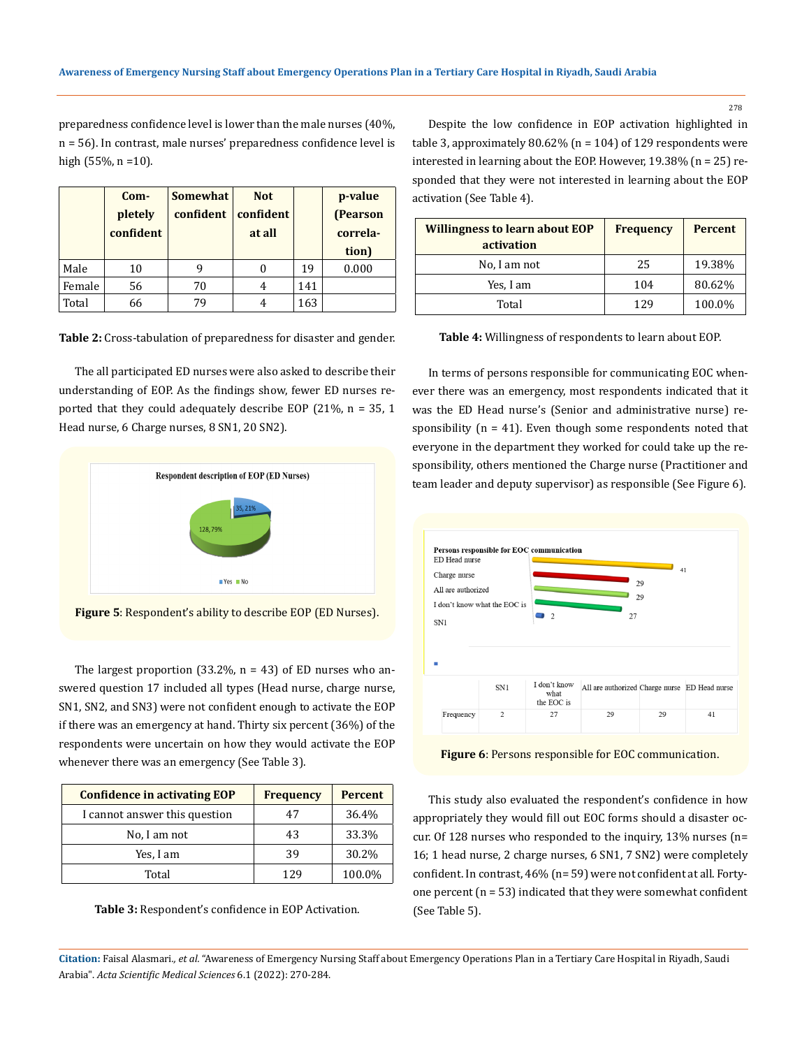preparedness confidence level is lower than the male nurses (40%, n = 56). In contrast, male nurses' preparedness confidence level is high (55%, n =10).

|        | Com-      | <b>Somewhat</b> | <b>Not</b> |     | p-value  |
|--------|-----------|-----------------|------------|-----|----------|
|        | pletely   | confident       | confident  |     | (Pearson |
|        | confident |                 | at all     |     | correla- |
|        |           |                 |            |     | tion)    |
| Male   | 10        |                 |            | 19  | 0.000    |
| Female | 56        | 70              |            | 141 |          |
| Total  | 66        | 79              |            | 163 |          |

**Table 2:** Cross-tabulation of preparedness for disaster and gender.

The all participated ED nurses were also asked to describe their understanding of EOP. As the findings show, fewer ED nurses reported that they could adequately describe EOP (21%, n = 35, 1 Head nurse, 6 Charge nurses, 8 SN1, 20 SN2).



**Figure 5**: Respondent's ability to describe EOP (ED Nurses).

The largest proportion (33.2%,  $n = 43$ ) of ED nurses who answered question 17 included all types (Head nurse, charge nurse, SN1, SN2, and SN3) were not confident enough to activate the EOP if there was an emergency at hand. Thirty six percent (36%) of the respondents were uncertain on how they would activate the EOP whenever there was an emergency (See Table 3).

| <b>Confidence in activating EOP</b> | <b>Frequency</b> | <b>Percent</b> |
|-------------------------------------|------------------|----------------|
| I cannot answer this question       | 47               | 36.4%          |
| No, I am not                        | 43               | 33.3%          |
| Yes, I am                           | 39               | 30.2%          |
| Total                               | 129              | 100.0%         |



Despite the low confidence in EOP activation highlighted in table 3, approximately  $80.62\%$  (n = 104) of 129 respondents were interested in learning about the EOP. However, 19.38% (n = 25) responded that they were not interested in learning about the EOP **Com** activation (See Table 4). **-**

| <b>Willingness to learn about EOP</b><br>activation | <b>Frequency</b> | <b>Percent</b> |
|-----------------------------------------------------|------------------|----------------|
| No, I am not                                        | 25               | 19.38%         |
| Yes, I am                                           | 104              | 80.62%         |
| Total                                               | 129              | 100.0%         |

**Table 4:** Willingness of respondents to learn about EOP.

In terms of persons responsible for communicating EOC whenever there was an emergency, most respondents indicated that it was the ED Head nurse's (Senior and administrative nurse) responsibility ( $n = 41$ ). Even though some respondents noted that everyone in the department they worked for could take up the responsibility, others mentioned the Charge nurse (Practitioner and team leader and deputy supervisor) as responsible (See Figure 6).



**Figure 6**: Persons responsible for EOC communication.

This study also evaluated the respondent's confidence in how appropriately they would fill out EOC forms should a disaster occur. Of 128 nurses who responded to the inquiry, 13% nurses (n= 16; 1 head nurse, 2 charge nurses, 6 SN1, 7 SN2) were completely confident. In contrast, 46% (n= 59) were not confident at all. Fortyone percent ( $n = 53$ ) indicated that they were somewhat confident (See Table 5).

**Citation:** Faisal Alasmari*., et al.* "Awareness of Emergency Nursing Staff about Emergency Operations Plan in a Tertiary Care Hospital in Riyadh, Saudi Arabia". *Acta Scientific Medical Sciences* 6.1 (2022): 270-284.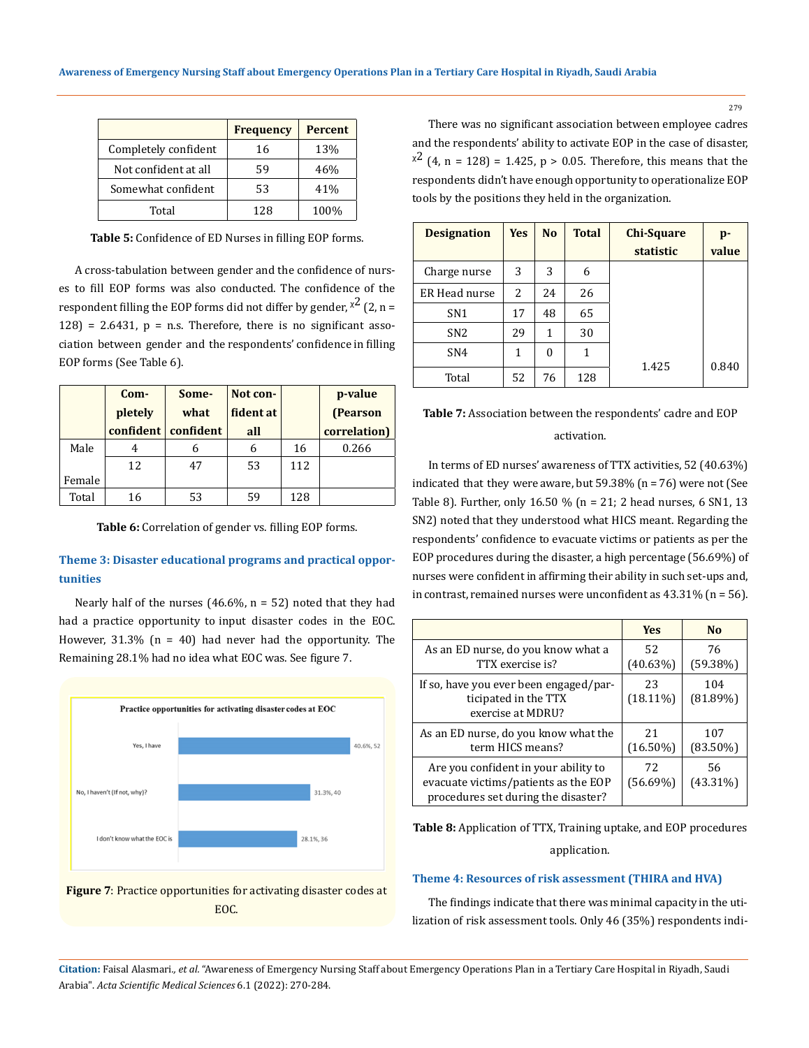|                      | <b>Frequency</b> | <b>Percent</b> |
|----------------------|------------------|----------------|
| Completely confident | 16               | 13%            |
| Not confident at all | 59               | 46%            |
| Somewhat confident   | 53               | 41%            |
| Total                | 128              | 100%           |

**Table 5:** Confidence of ED Nurses in filling EOP forms.

A cross-tabulation between gender and the confidence of nurses to fill EOP forms was also conducted. The confidence of the respondent filling the EOP forms did not differ by gender,  $x^2$  (2, n =  $128$  = 2.6431,  $p$  = n.s. Therefore, there is no significant association between gender and the respondents' confidence in filling EOP forms (See Table 6).

|        | Com-             | Some-     | Not con-  |     | p-value      |
|--------|------------------|-----------|-----------|-----|--------------|
|        | pletely          | what      | fident at |     | (Pearson     |
|        | <b>confident</b> | confident | all       |     | correlation) |
| Male   |                  | h         | 6         | 16  | 0.266        |
|        | 12               | 47        | 53        | 112 |              |
| Female |                  |           |           |     |              |
| Total  | 16               | 53        | 59        | 128 |              |

**Table 6:** Correlation of gender vs. filling EOP forms.

# **Theme 3: Disaster educational programs and practical opportunities**

Nearly half of the nurses (46.6%,  $n = 52$ ) noted that they had had a practice opportunity to input disaster codes in the EOC. However,  $31.3\%$  (n = 40) had never had the opportunity. The Remaining 28.1% had no idea what EOC was. See figure 7.





There was no significant association between employee cadres and the respondents' ability to activate EOP in the case of disaster,  $x^2$  (4, n = 128) = 1.425, p > 0.05. Therefore, this means that the respondents didn't have enough opportunity to operationalize EOP tools by the positions they held in the organization.

| <b>Designation</b> | <b>Yes</b> | <b>No</b> | <b>Total</b> | <b>Chi-Square</b><br>statistic | p-<br>value |
|--------------------|------------|-----------|--------------|--------------------------------|-------------|
| Charge nurse       | 3          | 3         | 6            |                                |             |
| ER Head nurse      | 2          | 24        | 26           |                                |             |
| SN <sub>1</sub>    | 17         | 48        | 65           |                                |             |
| SN <sub>2</sub>    | 29         | 1         | 30           |                                |             |
| SN <sub>4</sub>    | 1          | $\theta$  | 1            |                                |             |
| Total              | 52         | 76        | 128          | 1.425                          | 0.840       |

# **Table 7:** Association between the respondents' cadre and EOP activation.

In terms of ED nurses' awareness of TTX activities, 52 (40.63%) indicated that they were aware, but  $59.38\%$  (n = 76) were not (See Table 8). Further, only 16.50 % (n = 21; 2 head nurses, 6 SN1, 13 SN2) noted that they understood what HICS meant. Regarding the respondents' confidence to evacuate victims or patients as per the EOP procedures during the disaster, a high percentage (56.69%) of nurses were confident in affirming their ability in such set-ups and, in contrast, remained nurses were unconfident as 43.31% (n = 56).

|                                                                                                                     | <b>Yes</b>        | N <sub>0</sub>     |
|---------------------------------------------------------------------------------------------------------------------|-------------------|--------------------|
| As an ED nurse, do you know what a<br>TTX exercise is?                                                              | 52<br>(40.63%)    | 76<br>$(59.38\%)$  |
| If so, have you ever been engaged/par-<br>ticipated in the TTX<br>exercise at MDRU?                                 | 23<br>$(18.11\%)$ | 104<br>$(81.89\%)$ |
| As an ED nurse, do you know what the<br>term HICS means?                                                            | 21<br>$(16.50\%)$ | 107<br>$(83.50\%)$ |
| Are you confident in your ability to<br>evacuate victims/patients as the EOP<br>procedures set during the disaster? | 72<br>$(56.69\%)$ | 56<br>$(43.31\%)$  |

**Table 8:** Application of TTX, Training uptake, and EOP procedures application.

### **Theme 4: Resources of risk assessment (THIRA and HVA)**

The findings indicate that there was minimal capacity in the utilization of risk assessment tools. Only 46 (35%) respondents indi-

**Citation:** Faisal Alasmari*., et al.* "Awareness of Emergency Nursing Staff about Emergency Operations Plan in a Tertiary Care Hospital in Riyadh, Saudi Arabia". *Acta Scientific Medical Sciences* 6.1 (2022): 270-284.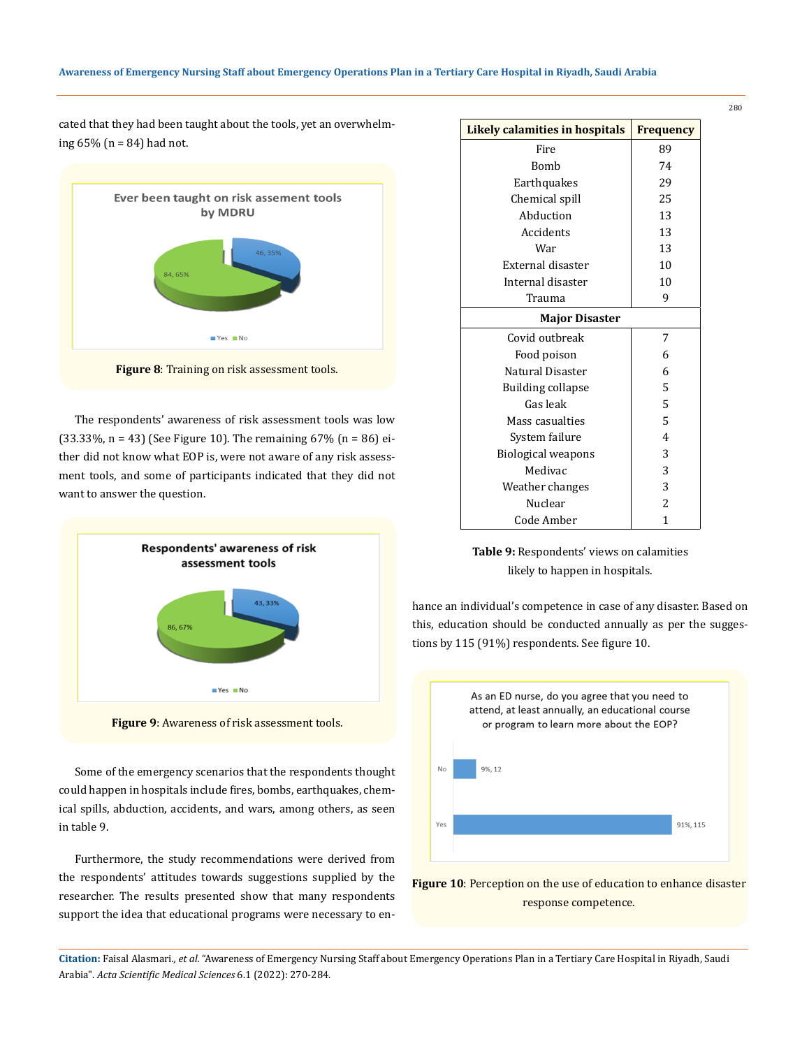cated that they had been taught about the tools, yet an overwhelming 65% (n = 84) had not.



**Figure 8**: Training on risk assessment tools.

The respondents' awareness of risk assessment tools was low  $(33.33\%), n = 43$  (See Figure 10). The remaining 67% (n = 86) either did not know what EOP is, were not aware of any risk assessment tools, and some of participants indicated that they did not want to answer the question.



**Figure 9**: Awareness of risk assessment tools.

Some of the emergency scenarios that the respondents thought could happen in hospitals include fires, bombs, earthquakes, chemical spills, abduction, accidents, and wars, among others, as seen in table 9.

Furthermore, the study recommendations were derived from the respondents' attitudes towards suggestions supplied by the researcher. The results presented show that many respondents support the idea that educational programs were necessary to en-

| Likely calamities in hospitals | <b>Frequency</b> |  |  |  |  |
|--------------------------------|------------------|--|--|--|--|
| Fire                           | 89               |  |  |  |  |
| Bomh                           | 74               |  |  |  |  |
| Earthquakes                    | 29               |  |  |  |  |
| Chemical spill                 | 25               |  |  |  |  |
| Abduction                      | 13               |  |  |  |  |
| Accidents                      | 13               |  |  |  |  |
| War                            | 13               |  |  |  |  |
| External disaster              | 10               |  |  |  |  |
| Internal disaster              | 10               |  |  |  |  |
| Trauma                         | 9                |  |  |  |  |
| <b>Major Disaster</b>          |                  |  |  |  |  |
| Covid outbreak                 | 7                |  |  |  |  |
| Food poison                    | 6                |  |  |  |  |
| Natural Disaster               | 6                |  |  |  |  |
| Building collapse              | 5                |  |  |  |  |
| Gas leak                       | 5                |  |  |  |  |
| Mass casualties                | 5                |  |  |  |  |
| System failure                 | $\overline{4}$   |  |  |  |  |
| <b>Biological weapons</b>      | 3                |  |  |  |  |
| Medivac                        | 3                |  |  |  |  |
| Weather changes                | 3                |  |  |  |  |
| Nuclear                        | $\overline{a}$   |  |  |  |  |
| Code Amber                     | 1                |  |  |  |  |



hance an individual's competence in case of any disaster. Based on this, education should be conducted annually as per the suggestions by 115 (91%) respondents. See figure 10.



**Figure 10**: Perception on the use of education to enhance disaster response competence.

**Citation:** Faisal Alasmari*., et al.* "Awareness of Emergency Nursing Staff about Emergency Operations Plan in a Tertiary Care Hospital in Riyadh, Saudi Arabia". *Acta Scientific Medical Sciences* 6.1 (2022): 270-284.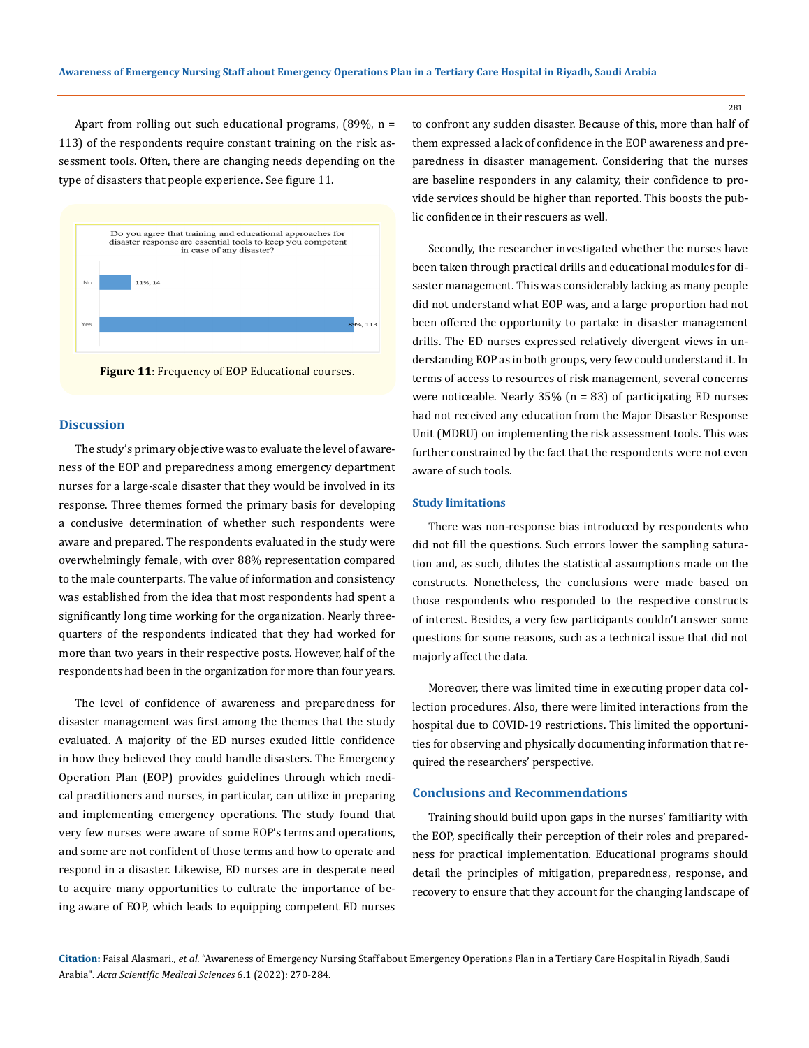Apart from rolling out such educational programs,  $(89\%, n =$ 113) of the respondents require constant training on the risk assessment tools. Often, there are changing needs depending on the type of disasters that people experience. See figure 11.





## **Discussion**

The study's primary objective was to evaluate the level of awareness of the EOP and preparedness among emergency department nurses for a large-scale disaster that they would be involved in its response. Three themes formed the primary basis for developing a conclusive determination of whether such respondents were aware and prepared. The respondents evaluated in the study were overwhelmingly female, with over 88% representation compared to the male counterparts. The value of information and consistency was established from the idea that most respondents had spent a significantly long time working for the organization. Nearly threequarters of the respondents indicated that they had worked for more than two years in their respective posts. However, half of the respondents had been in the organization for more than four years.

The level of confidence of awareness and preparedness for disaster management was first among the themes that the study evaluated. A majority of the ED nurses exuded little confidence in how they believed they could handle disasters. The Emergency Operation Plan (EOP) provides guidelines through which medical practitioners and nurses, in particular, can utilize in preparing and implementing emergency operations. The study found that very few nurses were aware of some EOP's terms and operations, and some are not confident of those terms and how to operate and respond in a disaster. Likewise, ED nurses are in desperate need to acquire many opportunities to cultrate the importance of being aware of EOP, which leads to equipping competent ED nurses

to confront any sudden disaster. Because of this, more than half of them expressed a lack of confidence in the EOP awareness and preparedness in disaster management. Considering that the nurses are baseline responders in any calamity, their confidence to provide services should be higher than reported. This boosts the public confidence in their rescuers as well.

Secondly, the researcher investigated whether the nurses have been taken through practical drills and educational modules for disaster management. This was considerably lacking as many people did not understand what EOP was, and a large proportion had not been offered the opportunity to partake in disaster management drills. The ED nurses expressed relatively divergent views in understanding EOP as in both groups, very few could understand it. In terms of access to resources of risk management, several concerns were noticeable. Nearly  $35\%$  (n = 83) of participating ED nurses had not received any education from the Major Disaster Response Unit (MDRU) on implementing the risk assessment tools. This was further constrained by the fact that the respondents were not even aware of such tools.

# **Study limitations**

There was non-response bias introduced by respondents who did not fill the questions. Such errors lower the sampling saturation and, as such, dilutes the statistical assumptions made on the constructs. Nonetheless, the conclusions were made based on those respondents who responded to the respective constructs of interest. Besides, a very few participants couldn't answer some questions for some reasons, such as a technical issue that did not majorly affect the data.

Moreover, there was limited time in executing proper data collection procedures. Also, there were limited interactions from the hospital due to COVID-19 restrictions. This limited the opportunities for observing and physically documenting information that required the researchers' perspective.

# **Conclusions and Recommendations**

Training should build upon gaps in the nurses' familiarity with the EOP, specifically their perception of their roles and preparedness for practical implementation. Educational programs should detail the principles of mitigation, preparedness, response, and recovery to ensure that they account for the changing landscape of

**Citation:** Faisal Alasmari*., et al.* "Awareness of Emergency Nursing Staff about Emergency Operations Plan in a Tertiary Care Hospital in Riyadh, Saudi Arabia". *Acta Scientific Medical Sciences* 6.1 (2022): 270-284.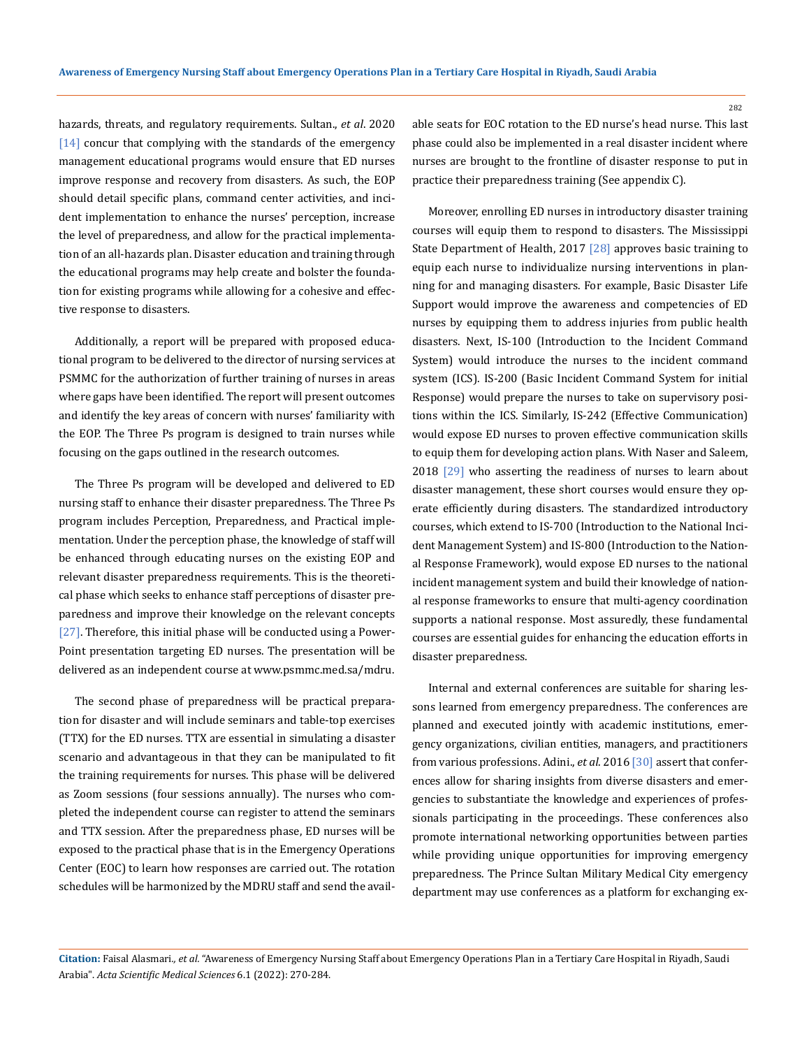hazards, threats, and regulatory requirements. Sultan., *et al*. 2020 [14] concur that complying with the standards of the emergency management educational programs would ensure that ED nurses improve response and recovery from disasters. As such, the EOP should detail specific plans, command center activities, and incident implementation to enhance the nurses' perception, increase the level of preparedness, and allow for the practical implementation of an all-hazards plan. Disaster education and training through the educational programs may help create and bolster the foundation for existing programs while allowing for a cohesive and effective response to disasters.

Additionally, a report will be prepared with proposed educational program to be delivered to the director of nursing services at PSMMC for the authorization of further training of nurses in areas where gaps have been identified. The report will present outcomes and identify the key areas of concern with nurses' familiarity with the EOP. The Three Ps program is designed to train nurses while focusing on the gaps outlined in the research outcomes.

The Three Ps program will be developed and delivered to ED nursing staff to enhance their disaster preparedness. The Three Ps program includes Perception, Preparedness, and Practical implementation. Under the perception phase, the knowledge of staff will be enhanced through educating nurses on the existing EOP and relevant disaster preparedness requirements. This is the theoretical phase which seeks to enhance staff perceptions of disaster preparedness and improve their knowledge on the relevant concepts [27]. Therefore, this initial phase will be conducted using a Power-Point presentation targeting ED nurses. The presentation will be delivered as an independent course at www.psmmc.med.sa/mdru.

The second phase of preparedness will be practical preparation for disaster and will include seminars and table-top exercises (TTX) for the ED nurses. TTX are essential in simulating a disaster scenario and advantageous in that they can be manipulated to fit the training requirements for nurses. This phase will be delivered as Zoom sessions (four sessions annually). The nurses who completed the independent course can register to attend the seminars and TTX session. After the preparedness phase, ED nurses will be exposed to the practical phase that is in the Emergency Operations Center (EOC) to learn how responses are carried out. The rotation schedules will be harmonized by the MDRU staff and send the available seats for EOC rotation to the ED nurse's head nurse. This last phase could also be implemented in a real disaster incident where nurses are brought to the frontline of disaster response to put in practice their preparedness training (See appendix C).

Moreover, enrolling ED nurses in introductory disaster training courses will equip them to respond to disasters. The Mississippi State Department of Health, 2017 [28] approves basic training to equip each nurse to individualize nursing interventions in planning for and managing disasters. For example, Basic Disaster Life Support would improve the awareness and competencies of ED nurses by equipping them to address injuries from public health disasters. Next, IS-100 (Introduction to the Incident Command System) would introduce the nurses to the incident command system (ICS). IS-200 (Basic Incident Command System for initial Response) would prepare the nurses to take on supervisory positions within the ICS. Similarly, IS-242 (Effective Communication) would expose ED nurses to proven effective communication skills to equip them for developing action plans. With Naser and Saleem, 2018 [29] who asserting the readiness of nurses to learn about disaster management, these short courses would ensure they operate efficiently during disasters. The standardized introductory courses, which extend to IS-700 (Introduction to the National Incident Management System) and IS-800 (Introduction to the National Response Framework), would expose ED nurses to the national incident management system and build their knowledge of national response frameworks to ensure that multi-agency coordination supports a national response. Most assuredly, these fundamental courses are essential guides for enhancing the education efforts in disaster preparedness.

Internal and external conferences are suitable for sharing lessons learned from emergency preparedness. The conferences are planned and executed jointly with academic institutions, emergency organizations, civilian entities, managers, and practitioners from various professions. Adini., *et al*. 2016 [30] assert that conferences allow for sharing insights from diverse disasters and emergencies to substantiate the knowledge and experiences of professionals participating in the proceedings. These conferences also promote international networking opportunities between parties while providing unique opportunities for improving emergency preparedness. The Prince Sultan Military Medical City emergency department may use conferences as a platform for exchanging ex-

**Citation:** Faisal Alasmari*., et al.* "Awareness of Emergency Nursing Staff about Emergency Operations Plan in a Tertiary Care Hospital in Riyadh, Saudi Arabia". *Acta Scientific Medical Sciences* 6.1 (2022): 270-284.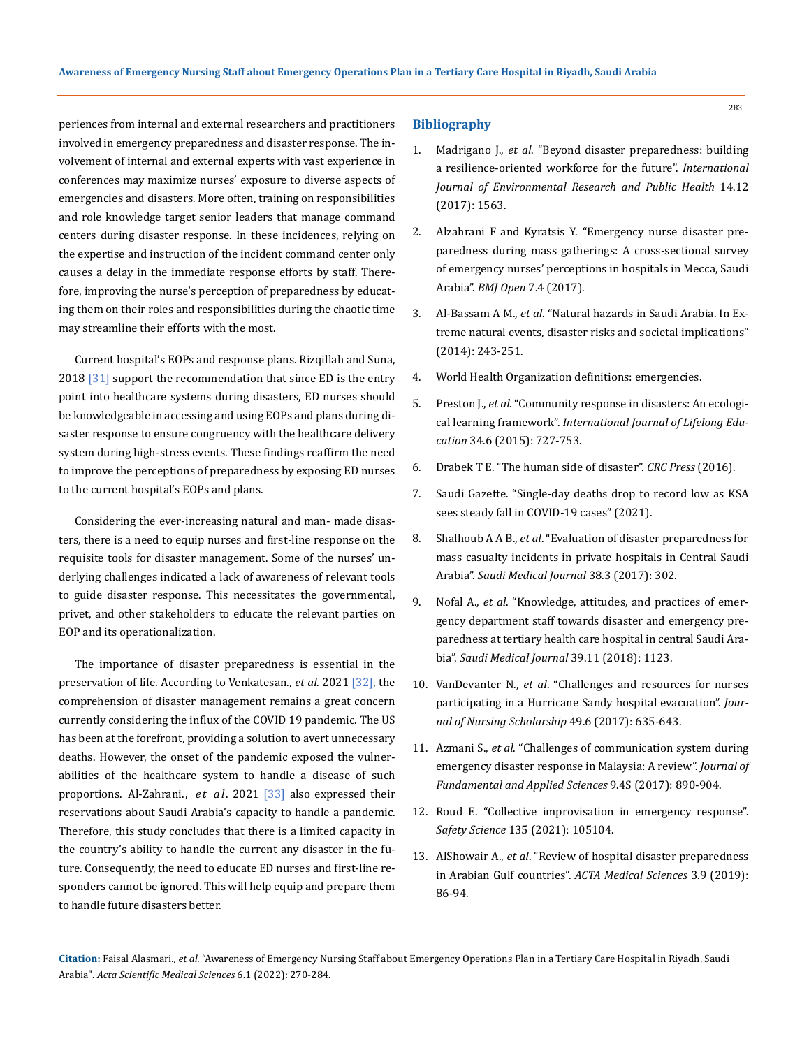periences from internal and external researchers and practitioners involved in emergency preparedness and disaster response. The involvement of internal and external experts with vast experience in conferences may maximize nurses' exposure to diverse aspects of emergencies and disasters. More often, training on responsibilities and role knowledge target senior leaders that manage command centers during disaster response. In these incidences, relying on the expertise and instruction of the incident command center only causes a delay in the immediate response efforts by staff. Therefore, improving the nurse's perception of preparedness by educating them on their roles and responsibilities during the chaotic time may streamline their efforts with the most.

Current hospital's EOPs and response plans. Rizqillah and Suna, 2018 [31] support the recommendation that since ED is the entry point into healthcare systems during disasters, ED nurses should be knowledgeable in accessing and using EOPs and plans during disaster response to ensure congruency with the healthcare delivery system during high-stress events. These findings reaffirm the need to improve the perceptions of preparedness by exposing ED nurses to the current hospital's EOPs and plans.

Considering the ever-increasing natural and man- made disasters, there is a need to equip nurses and first-line response on the requisite tools for disaster management. Some of the nurses' underlying challenges indicated a lack of awareness of relevant tools to guide disaster response. This necessitates the governmental, privet, and other stakeholders to educate the relevant parties on EOP and its operationalization.

The importance of disaster preparedness is essential in the preservation of life. According to Venkatesan., *et al*. 2021 [32], the comprehension of disaster management remains a great concern currently considering the influx of the COVID 19 pandemic. The US has been at the forefront, providing a solution to avert unnecessary deaths. However, the onset of the pandemic exposed the vulnerabilities of the healthcare system to handle a disease of such proportions. Al-Zahrani. , *et al*. 2021 [33] also expressed their reservations about Saudi Arabia's capacity to handle a pandemic. Therefore, this study concludes that there is a limited capacity in the country's ability to handle the current any disaster in the future. Consequently, the need to educate ED nurses and first-line responders cannot be ignored. This will help equip and prepare them to handle future disasters better.

# **Bibliography**

- 1. Madrigano J., *et al*[. "Beyond disaster preparedness: building](https://doi.org/10.3390/ijerph14121563)  [a resilience-oriented workforce for the future".](https://doi.org/10.3390/ijerph14121563) *International [Journal of Environmental Research and Public Health](https://doi.org/10.3390/ijerph14121563)* 14.12 [\(2017\): 1563.](https://doi.org/10.3390/ijerph14121563)
- 2. [Alzahrani F and Kyratsis Y. "Emergency nurse disaster pre](https://doi.org/10.1136/bmjopen-2016-013563)[paredness during mass gatherings: A cross-sectional survey](https://doi.org/10.1136/bmjopen-2016-013563)  [of emergency nurses' perceptions in hospitals in Mecca, Saudi](https://doi.org/10.1136/bmjopen-2016-013563) Arabia". *BMJ Open* [7.4 \(2017\).](https://doi.org/10.1136/bmjopen-2016-013563)
- 3. Al-Bassam A M., *et al*[. "Natural hazards in Saudi Arabia. In Ex](https://doi.org/10.13140/2.1.3599.1046)[treme natural events, disaster risks and societal implications"](https://doi.org/10.13140/2.1.3599.1046)  [\(2014\): 243-251.](https://doi.org/10.13140/2.1.3599.1046)
- 4. [World Health Organization definitions: emergencies.](http://www.who.int/hac/about/definitions/en/)
- 5. Preston J., *et al*[. "Community response in disasters: An ecologi](https://doi.org/10.1080/02601370.2015.1116116)cal learning framework". *[International Journal of Lifelong Edu](https://doi.org/10.1080/02601370.2015.1116116)cation* [34.6 \(2015\): 727-753.](https://doi.org/10.1080/02601370.2015.1116116)
- 6. Drabek T E. "The human side of disaster". *CRC Press* (2016).
- 7. [Saudi Gazette. "Single-day deaths drop to record low as KSA](https://saudigazette.com.sa/article/602249/SAUDI-ARABIA/Single-day-%20deaths-drop-to-record-low-as-KSA-sees-steady-fall-in-COVID-19-cases)  [sees steady fall in COVID-19 cases" \(2021\).](https://saudigazette.com.sa/article/602249/SAUDI-ARABIA/Single-day-%20deaths-drop-to-record-low-as-KSA-sees-steady-fall-in-COVID-19-cases)
- 8. Shalhoub A A B., *et al*[. "Evaluation of disaster preparedness for](https://doi.org/10.15537/smj.2017.3.17483) [mass casualty incidents in private hospitals in Central Saudi](https://doi.org/10.15537/smj.2017.3.17483)  Arabia". *[Saudi Medical Journal](https://doi.org/10.15537/smj.2017.3.17483)* 38.3 (2017): 302.
- 9. Nofal A., *et al*[. "Knowledge, attitudes, and practices of emer](https://doi.org/10.15537/smj.2018.11.23026)[gency department staff towards disaster and emergency pre](https://doi.org/10.15537/smj.2018.11.23026)[paredness at tertiary health care hospital in central Saudi Ara](https://doi.org/10.15537/smj.2018.11.23026)bia". *[Saudi Medical Journal](https://doi.org/10.15537/smj.2018.11.23026)* 39.11 (2018): 1123.
- 10. VanDevanter N., *et al*[. "Challenges and resources for nurses](https://doi.org/10.1111/jnu.12329) [participating in a Hurricane Sandy hospital evacuation".](https://doi.org/10.1111/jnu.12329) *Jour[nal of Nursing Scholarship](https://doi.org/10.1111/jnu.12329)* 49.6 (2017): 635-643.
- 11. Azmani S., *et al*[. "Challenges of communication system during](http://dx.doi.org/10.4314/jfas.v9i4s.51)  [emergency disaster response in Malaysia: A review".](http://dx.doi.org/10.4314/jfas.v9i4s.51) *Journal of [Fundamental and Applied Sciences](http://dx.doi.org/10.4314/jfas.v9i4s.51)* 9.4S (2017): 890-904.
- 12. [Roud E. "Collective improvisation in emergency response".](https://www.sciencedirect.com/science/article/pii/S0925753520305014)  *Safety Science* [135 \(2021\): 105104.](https://www.sciencedirect.com/science/article/pii/S0925753520305014)
- 13. AlShowair A., *et al*[. "Review of hospital disaster preparedness](https://actascientific.com/ASMS/pdf/ASMS-03-0384.pdf) [in Arabian Gulf countries".](https://actascientific.com/ASMS/pdf/ASMS-03-0384.pdf) *ACTA Medical Sciences* 3.9 (2019): [86-94.](https://actascientific.com/ASMS/pdf/ASMS-03-0384.pdf)

**Citation:** Faisal Alasmari*., et al.* "Awareness of Emergency Nursing Staff about Emergency Operations Plan in a Tertiary Care Hospital in Riyadh, Saudi Arabia". *Acta Scientific Medical Sciences* 6.1 (2022): 270-284.